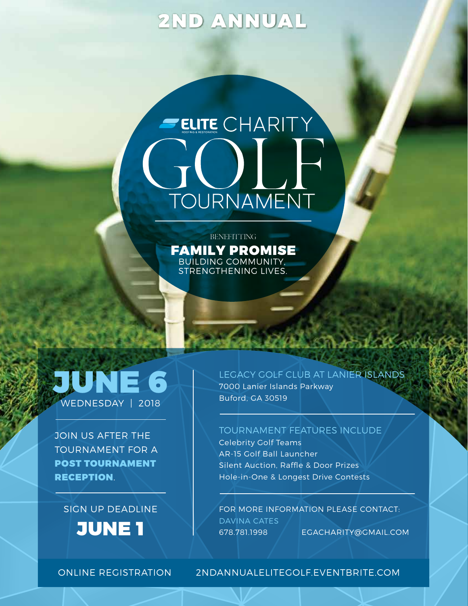# 2ND ANNUAL

# ELITE CHARITY TOURNAMENT

**BENEFITTING** FAMILY PROMISE BUILDING COMMUNITY, STRENGTHENING LIVES.

# $E($ WEDNESDAY | 2018

JOIN US AFTER THE TOURNAMENT FOR A POST TOURNAMENT RECEPTION.

### SIGN UP DEADLINE

JUNE 1

LEGACY GOLF CLUB AT LANIER ISLANDS

7000 Lanier Islands Parkway Buford, GA 30519

#### TOURNAMENT FEATURES INCLUDE

Celebrity Golf Teams AR-15 Golf Ball Launcher Silent Auction, Raffle & Door Prizes Hole-in-One & Longest Drive Contests

FOR MORE INFORMATION PLEASE CONTACT: DAVINA CATES 678.781.1998 EGACHARITY@GMAIL.COM

#### ONLINE REGISTRATION 2NDANNUALELITEGOLF.EVENTBRITE.COM